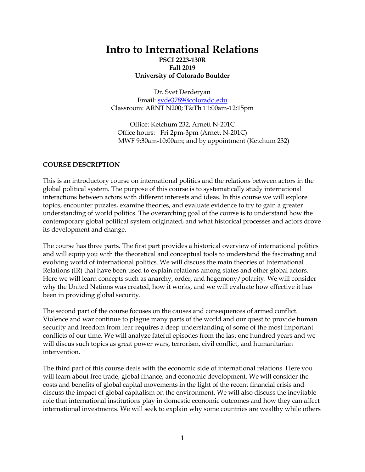## **Intro to International Relations PSCI 2223-130R Fall 2019 University of Colorado Boulder**

Dr. Svet Derderyan Email: [svde3789@colorado.edu](mailto:svde3789@colorado.edu) Classroom: ARNT N200; T&Th 11:00am-12:15pm

Office: Ketchum 232, Arnett N-201C Office hours: Fri 2pm-3pm (Arnett N-201C) MWF 9:30am-10:00am; and by appointment (Ketchum 232)

#### **COURSE DESCRIPTION**

This is an introductory course on international politics and the relations between actors in the global political system. The purpose of this course is to systematically study international interactions between actors with different interests and ideas. In this course we will explore topics, encounter puzzles, examine theories, and evaluate evidence to try to gain a greater understanding of world politics. The overarching goal of the course is to understand how the contemporary global political system originated, and what historical processes and actors drove its development and change.

The course has three parts. The first part provides a historical overview of international politics and will equip you with the theoretical and conceptual tools to understand the fascinating and evolving world of international politics. We will discuss the main theories of International Relations (IR) that have been used to explain relations among states and other global actors. Here we will learn concepts such as anarchy, order, and hegemony/polarity. We will consider why the United Nations was created, how it works, and we will evaluate how effective it has been in providing global security.

The second part of the course focuses on the causes and consequences of armed conflict. Violence and war continue to plague many parts of the world and our quest to provide human security and freedom from fear requires a deep understanding of some of the most important conflicts of our time. We will analyze fateful episodes from the last one hundred years and we will discus such topics as great power wars, terrorism, civil conflict, and humanitarian intervention.

The third part of this course deals with the economic side of international relations. Here you will learn about free trade, global finance, and economic development. We will consider the costs and benefits of global capital movements in the light of the recent financial crisis and discuss the impact of global capitalism on the environment. We will also discuss the inevitable role that international institutions play in domestic economic outcomes and how they can affect international investments. We will seek to explain why some countries are wealthy while others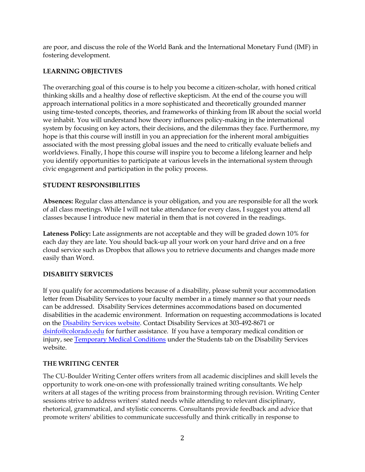are poor, and discuss the role of the World Bank and the International Monetary Fund (IMF) in fostering development.

#### **LEARNING OBJECTIVES**

The overarching goal of this course is to help you become a citizen-scholar, with honed critical thinking skills and a healthy dose of reflective skepticism. At the end of the course you will approach international politics in a more sophisticated and theoretically grounded manner using time-tested concepts, theories, and frameworks of thinking from IR about the social world we inhabit. You will understand how theory influences policy-making in the international system by focusing on key actors, their decisions, and the dilemmas they face. Furthermore, my hope is that this course will instill in you an appreciation for the inherent moral ambiguities associated with the most pressing global issues and the need to critically evaluate beliefs and worldviews. Finally, I hope this course will inspire you to become a lifelong learner and help you identify opportunities to participate at various levels in the international system through civic engagement and participation in the policy process.

## **STUDENT RESPONSIBILITIES**

**Absences:** Regular class attendance is your obligation, and you are responsible for all the work of all class meetings. While I will not take attendance for every class, I suggest you attend all classes because I introduce new material in them that is not covered in the readings.

**Lateness Policy:** Late assignments are not acceptable and they will be graded down 10% for each day they are late. You should back-up all your work on your hard drive and on a free cloud service such as Dropbox that allows you to retrieve documents and changes made more easily than Word.

## **DISABIITY SERVICES**

If you qualify for accommodations because of a disability, please submit your accommodation letter from Disability Services to your faculty member in a timely manner so that your needs can be addressed. Disability Services determines accommodations based on documented disabilities in the academic environment. Information on requesting accommodations is located on the [Disability Services website.](http://www.colorado.edu/disabilityservices/students) Contact Disability Services at 303-492-8671 or [dsinfo@colorado.edu](mailto:dsinfo@colorado.edu) for further assistance. If you have a temporary medical condition or injury, se[e Temporary Medical Conditions](http://www.colorado.edu/disabilityservices/students/temporary-medical-conditions) under the Students tab on the Disability Services website.

#### **THE WRITING CENTER**

The CU-Boulder Writing Center offers writers from all academic disciplines and skill levels the opportunity to work one-on-one with professionally trained writing consultants. We help writers at all stages of the writing process from brainstorming through revision. Writing Center sessions strive to address writers' stated needs while attending to relevant disciplinary, rhetorical, grammatical, and stylistic concerns. Consultants provide feedback and advice that promote writers' abilities to communicate successfully and think critically in response to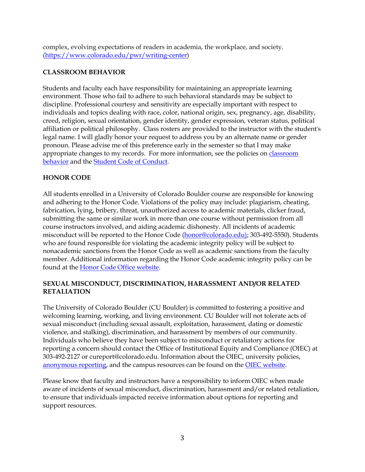complex, evolving expectations of readers in academia, the workplace, and society. [\(https://www.colorado.edu/pwr/writing-center\)](https://www.colorado.edu/pwr/writing-center)

#### **CLASSROOM BEHAVIOR**

Students and faculty each have responsibility for maintaining an appropriate learning environment. Those who fail to adhere to such behavioral standards may be subject to discipline. Professional courtesy and sensitivity are especially important with respect to individuals and topics dealing with race, color, national origin, sex, pregnancy, age, disability, creed, religion, sexual orientation, gender identity, gender expression, veteran status, political affiliation or political philosophy. Class rosters are provided to the instructor with the student's legal name. I will gladly honor your request to address you by an alternate name or gender pronoun. Please advise me of this preference early in the semester so that I may make appropriate changes to my records. For more information, see the policies on [classroom](http://www.colorado.edu/policies/student-classroom-and-course-related-behavior)  [behavior](http://www.colorado.edu/policies/student-classroom-and-course-related-behavior) and the [Student Code of Conduct.](http://www.colorado.edu/osccr/)

#### **HONOR CODE**

All students enrolled in a University of Colorado Boulder course are responsible for knowing and adhering to the Honor Code. Violations of the policy may include: plagiarism, cheating, fabrication, lying, bribery, threat, unauthorized access to academic materials, clicker fraud, submitting the same or similar work in more than one course without permission from all course instructors involved, and aiding academic dishonesty. All incidents of academic misconduct will be reported to the Honor Code [\(honor@colorado.edu\)](mailto:honor@colorado.edu); 303-492-5550). Students who are found responsible for violating the academic integrity policy will be subject to nonacademic sanctions from the Honor Code as well as academic sanctions from the faculty member. Additional information regarding the Honor Code academic integrity policy can be found at the [Honor Code Office website.](https://www.colorado.edu/osccr/honor-code)

#### **SEXUAL MISCONDUCT, DISCRIMINATION, HARASSMENT AND/OR RELATED RETALIATION**

The University of Colorado Boulder (CU Boulder) is committed to fostering a positive and welcoming learning, working, and living environment. CU Boulder will not tolerate acts of sexual misconduct (including sexual assault, exploitation, harassment, dating or domestic violence, and stalking), discrimination, and harassment by members of our community. Individuals who believe they have been subject to misconduct or retaliatory actions for reporting a concern should contact the Office of Institutional Equity and Compliance (OIEC) at 303-492-2127 or cureport@colorado.edu. Information about the OIEC, university policies, [anonymous reporting,](https://cuboulder.qualtrics.com/jfe/form/SV_0PnqVK4kkIJIZnf) and the campus resources can be found on the [OIEC website.](http://www.colorado.edu/institutionalequity/)

Please know that faculty and instructors have a responsibility to inform OIEC when made aware of incidents of sexual misconduct, discrimination, harassment and/or related retaliation, to ensure that individuals impacted receive information about options for reporting and support resources.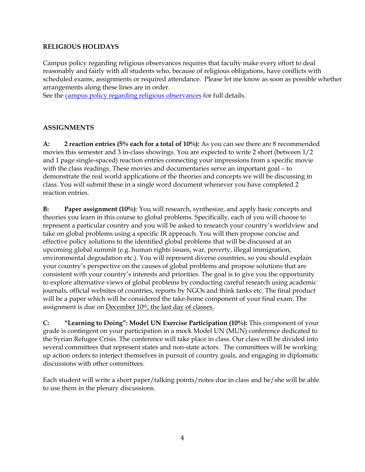#### **RELIGIOUS HOLIDAYS**

Campus policy regarding religious observances requires that faculty make every effort to deal reasonably and fairly with all students who, because of religious obligations, have conflicts with scheduled exams, assignments or required attendance. Please let me know as soon as possible whether arrangements along these lines are in order.

See the [campus policy regarding religious observances](http://www.colorado.edu/policies/observance-religious-holidays-and-absences-classes-andor-exams) for full details.

## **ASSIGNMENTS**

**A: 2 reaction entries (5% each for a total of 10%):** As you can see there are 8 recommended movies this semester and 3 in-class showings. You are expected to write 2 short (between 1/2 and 1 page single-spaced) reaction entries connecting your impressions from a specific movie with the class readings. These movies and documentaries serve an important goal – to demonstrate the real world applications of the theories and concepts we will be discussing in class. You will submit these in a single word document whenever you have completed 2 reaction entries.

**B: Paper assignment (10%)**: You will research, synthesize, and apply basic concepts and theories you learn in this course to global problems. Specifically, each of you will choose to represent a particular country and you will be asked to research your country's worldview and take on global problems using a specific IR approach. You will then propose concise and effective policy solutions to the identified global problems that will be discussed at an upcoming global summit (e.g. human rights issues, war, poverty, illegal immigration, environmental degradation etc.). You will represent diverse countries, so you should explain your country's perspective on the causes of global problems and propose solutions that are consistent with your country's interests and priorities. The goal is to give you the opportunity to explore alternative views of global problems by conducting careful research using academic journals, official websites of countries, reports by NGOs and think tanks etc. The final product will be a paper which will be considered the take-home component of your final exam. The assignment is due on December 10<sup>th</sup>, the last day of classes.

**C: "Learning to Doing": Model UN Exercise Participation (10%):** This component of your grade is contingent on your participation in a mock Model UN (MUN) conference dedicated to the Syrian Refugee Crisis. The conference will take place in class. Our class will be divided into several committees that represent states and non-state actors. The committees will be working up action orders to interject themselves in pursuit of country goals, and engaging in diplomatic discussions with other committees.

Each student will write a short paper/talking points/notes due in class and he/she will be able to use them in the plenary discussions.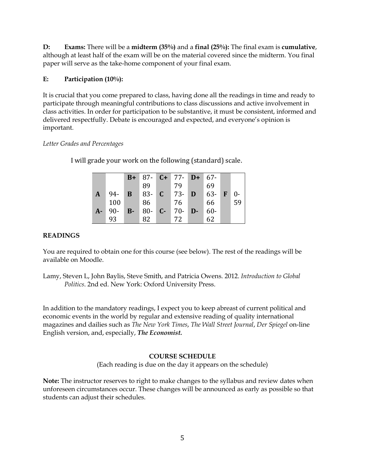**D: Exams:** There will be a **midterm (35%)** and a **final (25%):** The final exam is **cumulative**, although at least half of the exam will be on the material covered since the midterm. You final paper will serve as the take-home component of your final exam.

## **E: Participation (10%):**

It is crucial that you come prepared to class, having done all the readings in time and ready to participate through meaningful contributions to class discussions and active involvement in class activities. In order for participation to be substantive, it must be consistent, informed and delivered respectfully. Debate is encouraged and expected, and everyone's opinion is important*.* 

#### *Letter Grades and Percentages*

I will grade your work on the following (standard) scale.

|      |        | $B+$         |          | $87 - C + 77 - D + 67$ |        |              |       |
|------|--------|--------------|----------|------------------------|--------|--------------|-------|
|      |        |              | 89       | 79                     | 69     |              |       |
| A    | 94-    | B            | $83 - C$ | $ 73 - D $             | 63-    | $\mathbf{F}$ | $0 -$ |
|      | 100    |              | 86       | 76                     | 66     |              | 59    |
| $A-$ | $90 -$ | $\mathbf{B}$ | $80 - C$ | $70 - D -$             | $60 -$ |              |       |
|      | 93     |              | 82       | 72                     | 62     |              |       |

## **READINGS**

You are required to obtain one for this course (see below). The rest of the readings will be available on Moodle.

Lamy, Steven L, John Baylis, Steve Smith, and Patricia Owens. 2012. *Introduction to Global Politics*. 2nd ed. New York: Oxford University Press.

In addition to the mandatory readings, I expect you to keep abreast of current political and economic events in the world by regular and extensive reading of quality international magazines and dailies such as *The New York Times*, *The Wall Street Journal*, *Der Spiegel* on-line English version, and, especially, *The Economist.*

## **COURSE SCHEDULE**

(Each reading is due on the day it appears on the schedule)

**Note:** The instructor reserves to right to make changes to the syllabus and review dates when unforeseen circumstances occur. These changes will be announced as early as possible so that students can adjust their schedules.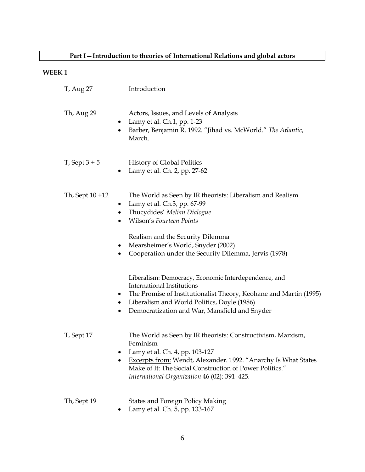# **Part I—Introduction to theories of International Relations and global actors**

## **WEEK 1**

| T, Aug 27          | Introduction                                                                                                                                                                                                                                                                                  |
|--------------------|-----------------------------------------------------------------------------------------------------------------------------------------------------------------------------------------------------------------------------------------------------------------------------------------------|
| Th, Aug 29         | Actors, Issues, and Levels of Analysis<br>Lamy et al. Ch.1, pp. 1-23<br>٠<br>Barber, Benjamin R. 1992. "Jihad vs. McWorld." The Atlantic,<br>$\bullet$<br>March.                                                                                                                              |
| $T$ , Sept $3 + 5$ | <b>History of Global Politics</b><br>Lamy et al. Ch. 2, pp. 27-62                                                                                                                                                                                                                             |
| Th, Sept 10 +12    | The World as Seen by IR theorists: Liberalism and Realism<br>Lamy et al. Ch.3, pp. 67-99<br>Thucydides' Melian Dialogue<br>$\bullet$<br>Wilson's Fourteen Points                                                                                                                              |
|                    | Realism and the Security Dilemma<br>Mearsheimer's World, Snyder (2002)<br>$\bullet$<br>Cooperation under the Security Dilemma, Jervis (1978)<br>٠                                                                                                                                             |
|                    | Liberalism: Democracy, Economic Interdependence, and<br>International Institutions<br>The Promise of Institutionalist Theory, Keohane and Martin (1995)<br>• Liberalism and World Politics, Doyle (1986)<br>Democratization and War, Mansfield and Snyder<br>$\bullet$                        |
| T, Sept 17         | The World as Seen by IR theorists: Constructivism, Marxism,<br>Feminism<br>Lamy et al. Ch. 4, pp. 103-127<br><b>Excerpts from: Wendt, Alexander. 1992. "Anarchy Is What States</b><br>Make of It: The Social Construction of Power Politics."<br>International Organization 46 (02): 391-425. |
| Th, Sept 19        | <b>States and Foreign Policy Making</b><br>Lamy et al. Ch. 5, pp. 133-167                                                                                                                                                                                                                     |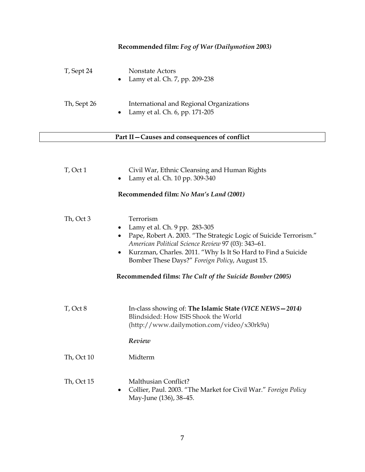## **Recommended film:** *Fog of War (Dailymotion 2003)*

| T, Sept 24  | Nonstate Actors<br>Lamy et al. Ch. 7, pp. 209-238<br>$\bullet$                          |
|-------------|-----------------------------------------------------------------------------------------|
| Th, Sept 26 | International and Regional Organizations<br>Lamy et al. Ch. 6, pp. 171-205<br>$\bullet$ |

## **Part II—Causes and consequences of conflict**

| T, Oct 1                         | Civil War, Ethnic Cleansing and Human Rights<br>Lamy et al. Ch. 10 pp. 309-340                                                                                                                                                                                                                                                                      |
|----------------------------------|-----------------------------------------------------------------------------------------------------------------------------------------------------------------------------------------------------------------------------------------------------------------------------------------------------------------------------------------------------|
|                                  | Recommended film: No Man's Land (2001)                                                                                                                                                                                                                                                                                                              |
| Th, Oct 3<br>٠<br>٠<br>$\bullet$ | Terrorism<br>Lamy et al. Ch. 9 pp. 283-305<br>Pape, Robert A. 2003. "The Strategic Logic of Suicide Terrorism."<br>American Political Science Review 97 (03): 343-61.<br>Kurzman, Charles. 2011. "Why Is It So Hard to Find a Suicide<br>Bomber These Days?" Foreign Policy, August 15.<br>Recommended films: The Cult of the Suicide Bomber (2005) |
|                                  |                                                                                                                                                                                                                                                                                                                                                     |
| T, Oct 8                         | In-class showing of: The Islamic State (VICE NEWS - 2014)<br>Blindsided: How ISIS Shook the World<br>(http://www.dailymotion.com/video/x30rk9a)                                                                                                                                                                                                     |
|                                  | Review                                                                                                                                                                                                                                                                                                                                              |
| Th, Oct 10                       | Midterm                                                                                                                                                                                                                                                                                                                                             |
| Th, Oct 15<br>٠                  | Malthusian Conflict?<br>Collier, Paul. 2003. "The Market for Civil War." Foreign Policy<br>May-June (136), 38-45.                                                                                                                                                                                                                                   |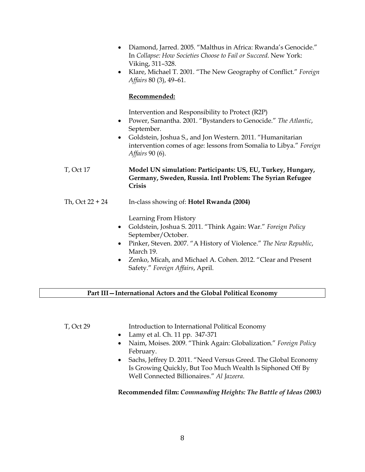|                   | Diamond, Jarred. 2005. "Malthus in Africa: Rwanda's Genocide."<br>$\bullet$<br>In Collapse: How Societies Choose to Fail or Succeed. New York:<br>Viking, 311-328.<br>Klare, Michael T. 2001. "The New Geography of Conflict." Foreign<br>$\bullet$<br>Affairs 80 (3), 49-61.                                                    |
|-------------------|----------------------------------------------------------------------------------------------------------------------------------------------------------------------------------------------------------------------------------------------------------------------------------------------------------------------------------|
|                   | Recommended:                                                                                                                                                                                                                                                                                                                     |
|                   | Intervention and Responsibility to Protect (R2P)<br>Power, Samantha. 2001. "Bystanders to Genocide." The Atlantic,<br>$\bullet$<br>September.<br>Goldstein, Joshua S., and Jon Western. 2011. "Humanitarian<br>$\bullet$<br>intervention comes of age: lessons from Somalia to Libya." Foreign<br>Affairs 90 (6).                |
| <b>T</b> , Oct 17 | Model UN simulation: Participants: US, EU, Turkey, Hungary,<br>Germany, Sweden, Russia. Intl Problem: The Syrian Refugee<br>Crisis                                                                                                                                                                                               |
| Th, Oct 22 + 24   | In-class showing of: <b>Hotel Rwanda (2004)</b>                                                                                                                                                                                                                                                                                  |
|                   | Learning From History<br>Goldstein, Joshua S. 2011. "Think Again: War." Foreign Policy<br>٠<br>September/October.<br>Pinker, Steven. 2007. "A History of Violence." The New Republic,<br>$\bullet$<br>March 19.<br>Zenko, Micah, and Michael A. Cohen. 2012. "Clear and Present<br>$\bullet$<br>Safety." Foreign Affairs, April. |

#### **Part III—International Actors and the Global Political Economy**

T, Oct 29 Introduction to International Political Economy

- Lamy et al. Ch. 11 pp. 347-371
- Naim, Moises. 2009. "Think Again: Globalization." *Foreign Policy* February.
- Sachs, Jeffrey D. 2011. "Need Versus Greed. The Global Economy Is Growing Quickly, But Too Much Wealth Is Siphoned Off By Well Connected Billionaires." *Al Jazeera*.

## **Recommended film:** *Commanding Heights: The Battle of Ideas (2003)*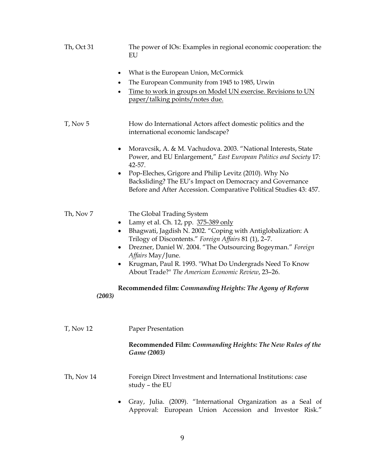| Th, Oct 31             | The power of IOs: Examples in regional economic cooperation: the<br>EU                                                                                                                                                                                                                                                                                                                             |
|------------------------|----------------------------------------------------------------------------------------------------------------------------------------------------------------------------------------------------------------------------------------------------------------------------------------------------------------------------------------------------------------------------------------------------|
|                        | What is the European Union, McCormick<br>The European Community from 1945 to 1985, Urwin<br>Time to work in groups on Model UN exercise. Revisions to UN<br>paper/talking points/notes due.                                                                                                                                                                                                        |
| T, Nov 5               | How do International Actors affect domestic politics and the<br>international economic landscape?                                                                                                                                                                                                                                                                                                  |
|                        | Moravcsik, A. & M. Vachudova. 2003. "National Interests, State<br>Power, and EU Enlargement," East European Politics and Society 17:<br>42-57.                                                                                                                                                                                                                                                     |
|                        | Pop-Eleches, Grigore and Philip Levitz (2010). Why No<br>Backsliding? The EU's Impact on Democracy and Governance<br>Before and After Accession. Comparative Political Studies 43: 457.                                                                                                                                                                                                            |
| Th, Nov 7<br>$\bullet$ | The Global Trading System<br>• Lamy et al. Ch. 12, pp. 375-389 only<br>Bhagwati, Jagdish N. 2002. "Coping with Antiglobalization: A<br>Trilogy of Discontents." Foreign Affairs 81 (1), 2-7.<br>Drezner, Daniel W. 2004. "The Outsourcing Bogeyman." Foreign<br>Affairs May/June.<br>Krugman, Paul R. 1993. "What Do Undergrads Need To Know<br>About Trade?" The American Economic Review, 23-26. |
| (2003)                 | Recommended film: Commanding Heights: The Agony of Reform                                                                                                                                                                                                                                                                                                                                          |
| <b>T</b> , Nov 12      | Paper Presentation                                                                                                                                                                                                                                                                                                                                                                                 |
|                        | Recommended Film: Commanding Heights: The New Rules of the<br>Game (2003)                                                                                                                                                                                                                                                                                                                          |
| Th, Nov 14             | Foreign Direct Investment and International Institutions: case<br>study - the EU                                                                                                                                                                                                                                                                                                                   |

• Gray, Julia. (2009). "International Organization as a Seal of Approval: European Union Accession and Investor Risk."